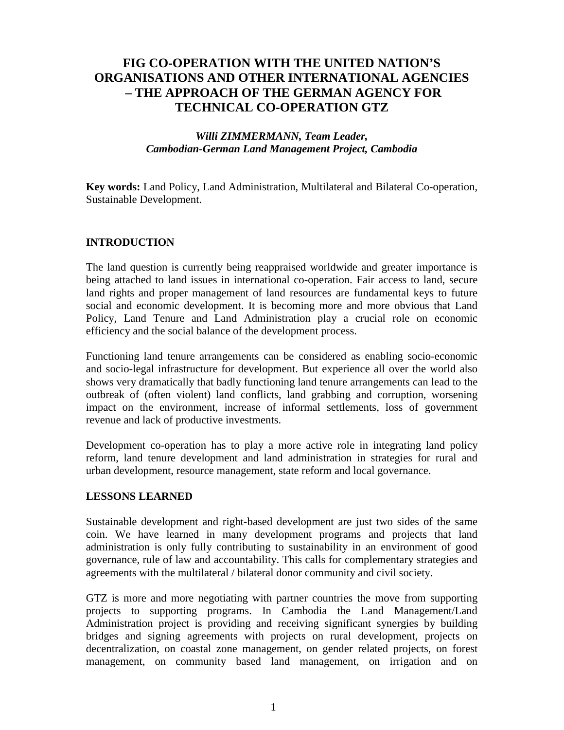# **FIG CO-OPERATION WITH THE UNITED NATION'S ORGANISATIONS AND OTHER INTERNATIONAL AGENCIES – THE APPROACH OF THE GERMAN AGENCY FOR TECHNICAL CO-OPERATION GTZ**

# *Willi ZIMMERMANN, Team Leader, Cambodian-German Land Management Project, Cambodia*

**Key words:** Land Policy, Land Administration, Multilateral and Bilateral Co-operation, Sustainable Development.

## **INTRODUCTION**

The land question is currently being reappraised worldwide and greater importance is being attached to land issues in international co-operation. Fair access to land, secure land rights and proper management of land resources are fundamental keys to future social and economic development. It is becoming more and more obvious that Land Policy, Land Tenure and Land Administration play a crucial role on economic efficiency and the social balance of the development process.

Functioning land tenure arrangements can be considered as enabling socio-economic and socio-legal infrastructure for development. But experience all over the world also shows very dramatically that badly functioning land tenure arrangements can lead to the outbreak of (often violent) land conflicts, land grabbing and corruption, worsening impact on the environment, increase of informal settlements, loss of government revenue and lack of productive investments.

Development co-operation has to play a more active role in integrating land policy reform, land tenure development and land administration in strategies for rural and urban development, resource management, state reform and local governance.

### **LESSONS LEARNED**

Sustainable development and right-based development are just two sides of the same coin. We have learned in many development programs and projects that land administration is only fully contributing to sustainability in an environment of good governance, rule of law and accountability. This calls for complementary strategies and agreements with the multilateral / bilateral donor community and civil society.

GTZ is more and more negotiating with partner countries the move from supporting projects to supporting programs. In Cambodia the Land Management/Land Administration project is providing and receiving significant synergies by building bridges and signing agreements with projects on rural development, projects on decentralization, on coastal zone management, on gender related projects, on forest management, on community based land management, on irrigation and on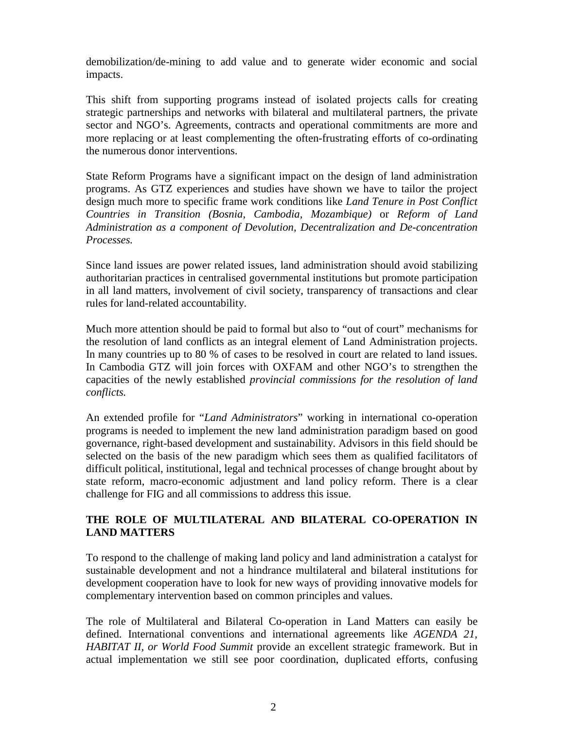demobilization/de-mining to add value and to generate wider economic and social impacts.

This shift from supporting programs instead of isolated projects calls for creating strategic partnerships and networks with bilateral and multilateral partners, the private sector and NGO's. Agreements, contracts and operational commitments are more and more replacing or at least complementing the often-frustrating efforts of co-ordinating the numerous donor interventions.

State Reform Programs have a significant impact on the design of land administration programs. As GTZ experiences and studies have shown we have to tailor the project design much more to specific frame work conditions like *Land Tenure in Post Conflict Countries in Transition (Bosnia, Cambodia, Mozambique)* or *Reform of Land Administration as a component of Devolution, Decentralization and De-concentration Processes.*

Since land issues are power related issues, land administration should avoid stabilizing authoritarian practices in centralised governmental institutions but promote participation in all land matters, involvement of civil society, transparency of transactions and clear rules for land-related accountability.

Much more attention should be paid to formal but also to "out of court" mechanisms for the resolution of land conflicts as an integral element of Land Administration projects. In many countries up to 80 % of cases to be resolved in court are related to land issues. In Cambodia GTZ will join forces with OXFAM and other NGO's to strengthen the capacities of the newly established *provincial commissions for the resolution of land conflicts.*

An extended profile for "*Land Administrators*" working in international co-operation programs is needed to implement the new land administration paradigm based on good governance, right-based development and sustainability. Advisors in this field should be selected on the basis of the new paradigm which sees them as qualified facilitators of difficult political, institutional, legal and technical processes of change brought about by state reform, macro-economic adjustment and land policy reform. There is a clear challenge for FIG and all commissions to address this issue.

# **THE ROLE OF MULTILATERAL AND BILATERAL CO-OPERATION IN LAND MATTERS**

To respond to the challenge of making land policy and land administration a catalyst for sustainable development and not a hindrance multilateral and bilateral institutions for development cooperation have to look for new ways of providing innovative models for complementary intervention based on common principles and values.

The role of Multilateral and Bilateral Co-operation in Land Matters can easily be defined. International conventions and international agreements like *AGENDA 21, HABITAT II, or World Food Summit* provide an excellent strategic framework. But in actual implementation we still see poor coordination, duplicated efforts, confusing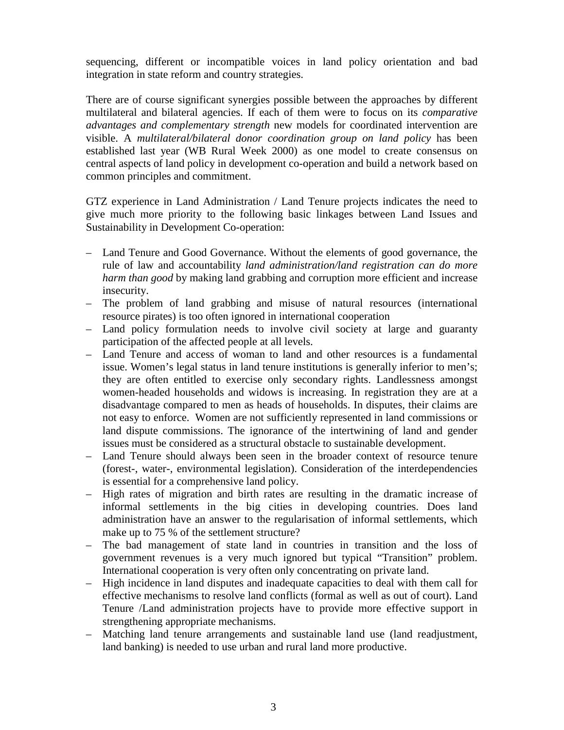sequencing, different or incompatible voices in land policy orientation and bad integration in state reform and country strategies.

There are of course significant synergies possible between the approaches by different multilateral and bilateral agencies. If each of them were to focus on its *comparative advantages and complementary strength* new models for coordinated intervention are visible. A *multilateral/bilateral donor coordination group on land policy* has been established last year (WB Rural Week 2000) as one model to create consensus on central aspects of land policy in development co-operation and build a network based on common principles and commitment.

GTZ experience in Land Administration / Land Tenure projects indicates the need to give much more priority to the following basic linkages between Land Issues and Sustainability in Development Co-operation:

- Land Tenure and Good Governance. Without the elements of good governance, the rule of law and accountability *land administration/land registration can do more harm than good* by making land grabbing and corruption more efficient and increase insecurity.
- The problem of land grabbing and misuse of natural resources (international resource pirates) is too often ignored in international cooperation
- Land policy formulation needs to involve civil society at large and guaranty participation of the affected people at all levels.
- Land Tenure and access of woman to land and other resources is a fundamental issue. Women's legal status in land tenure institutions is generally inferior to men's; they are often entitled to exercise only secondary rights. Landlessness amongst women-headed households and widows is increasing. In registration they are at a disadvantage compared to men as heads of households. In disputes, their claims are not easy to enforce. Women are not sufficiently represented in land commissions or land dispute commissions. The ignorance of the intertwining of land and gender issues must be considered as a structural obstacle to sustainable development.
- Land Tenure should always been seen in the broader context of resource tenure (forest-, water-, environmental legislation). Consideration of the interdependencies is essential for a comprehensive land policy.
- High rates of migration and birth rates are resulting in the dramatic increase of informal settlements in the big cities in developing countries. Does land administration have an answer to the regularisation of informal settlements, which make up to 75 % of the settlement structure?
- The bad management of state land in countries in transition and the loss of government revenues is a very much ignored but typical "Transition" problem. International cooperation is very often only concentrating on private land.
- High incidence in land disputes and inadequate capacities to deal with them call for effective mechanisms to resolve land conflicts (formal as well as out of court). Land Tenure /Land administration projects have to provide more effective support in strengthening appropriate mechanisms.
- Matching land tenure arrangements and sustainable land use (land readjustment, land banking) is needed to use urban and rural land more productive.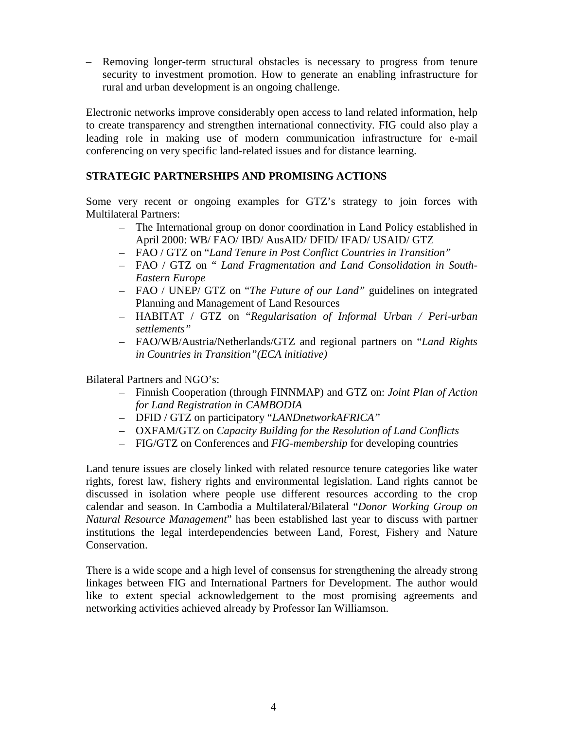– Removing longer-term structural obstacles is necessary to progress from tenure security to investment promotion. How to generate an enabling infrastructure for rural and urban development is an ongoing challenge.

Electronic networks improve considerably open access to land related information, help to create transparency and strengthen international connectivity. FIG could also play a leading role in making use of modern communication infrastructure for e-mail conferencing on very specific land-related issues and for distance learning.

# **STRATEGIC PARTNERSHIPS AND PROMISING ACTIONS**

Some very recent or ongoing examples for GTZ's strategy to join forces with Multilateral Partners:

- The International group on donor coordination in Land Policy established in April 2000: WB/ FAO/ IBD/ AusAID/ DFID/ IFAD/ USAID/ GTZ
- FAO / GTZ on "*Land Tenure in Post Conflict Countries in Transition"*
- FAO / GTZ on " *Land Fragmentation and Land Consolidation in South-Eastern Europe*
- FAO / UNEP/ GTZ on "*The Future of our Land"* guidelines on integrated Planning and Management of Land Resources
- HABITAT / GTZ on "*Regularisation of Informal Urban / Peri-urban settlements"*
- FAO/WB/Austria/Netherlands/GTZ and regional partners on "*Land Rights in Countries in Transition"(ECA initiative)*

Bilateral Partners and NGO's:

- Finnish Cooperation (through FINNMAP) and GTZ on: *Joint Plan of Action for Land Registration in CAMBODIA*
- DFID / GTZ on participatory "*LANDnetworkAFRICA"*
- OXFAM/GTZ on *Capacity Building for the Resolution of Land Conflicts*
- FIG/GTZ on Conferences and *FIG-membership* for developing countries

Land tenure issues are closely linked with related resource tenure categories like water rights, forest law, fishery rights and environmental legislation. Land rights cannot be discussed in isolation where people use different resources according to the crop calendar and season. In Cambodia a Multilateral/Bilateral "*Donor Working Group on Natural Resource Management*" has been established last year to discuss with partner institutions the legal interdependencies between Land, Forest, Fishery and Nature Conservation.

There is a wide scope and a high level of consensus for strengthening the already strong linkages between FIG and International Partners for Development. The author would like to extent special acknowledgement to the most promising agreements and networking activities achieved already by Professor Ian Williamson.